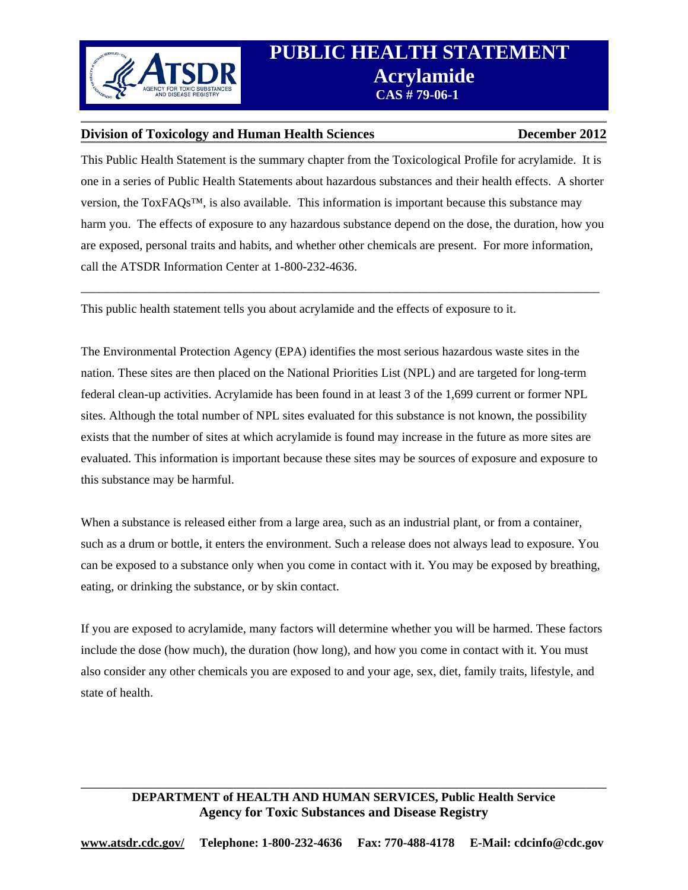

#### **Division of Toxicology and Human Health Sciences December 2012**

This Public Health Statement is the summary chapter from the Toxicological Profile for acrylamide. It is one in a series of Public Health Statements about hazardous substances and their health effects. A shorter version, the ToxFAQs™, is also available. This information is important because this substance may harm you. The effects of exposure to any hazardous substance depend on the dose, the duration, how you are exposed, personal traits and habits, and whether other chemicals are present. For more information, call the ATSDR Information Center at 1-800-232-4636.

\_\_\_\_\_\_\_\_\_\_\_\_\_\_\_\_\_\_\_\_\_\_\_\_\_\_\_\_\_\_\_\_\_\_\_\_\_\_\_\_\_\_\_\_\_\_\_\_\_\_\_\_\_\_\_\_\_\_\_\_\_\_\_\_\_\_\_\_\_\_\_\_\_\_\_\_\_\_\_\_\_\_\_\_

This public health statement tells you about acrylamide and the effects of exposure to it.

The Environmental Protection Agency (EPA) identifies the most serious hazardous waste sites in the nation. These sites are then placed on the National Priorities List (NPL) and are targeted for long-term federal clean-up activities. Acrylamide has been found in at least 3 of the 1,699 current or former NPL sites. Although the total number of NPL sites evaluated for this substance is not known, the possibility exists that the number of sites at which acrylamide is found may increase in the future as more sites are evaluated. This information is important because these sites may be sources of exposure and exposure to this substance may be harmful.

When a substance is released either from a large area, such as an industrial plant, or from a container, such as a drum or bottle, it enters the environment. Such a release does not always lead to exposure. You can be exposed to a substance only when you come in contact with it. You may be exposed by breathing, eating, or drinking the substance, or by skin contact.

If you are exposed to acrylamide, many factors will determine whether you will be harmed. These factors include the dose (how much), the duration (how long), and how you come in contact with it. You must also consider any other chemicals you are exposed to and your age, sex, diet, family traits, lifestyle, and state of health.

#### \_\_\_\_\_\_\_\_\_\_\_\_\_\_\_\_\_\_\_\_\_\_\_\_\_\_\_\_\_\_\_\_\_\_\_\_\_\_\_\_\_\_\_\_\_\_\_\_\_\_\_\_\_\_\_\_\_\_\_\_\_\_\_\_\_\_\_\_\_\_\_\_\_\_\_\_\_\_ **DEPARTMENT of HEALTH AND HUMAN SERVICES, Public Health Service Agency for Toxic Substances and Disease Registry**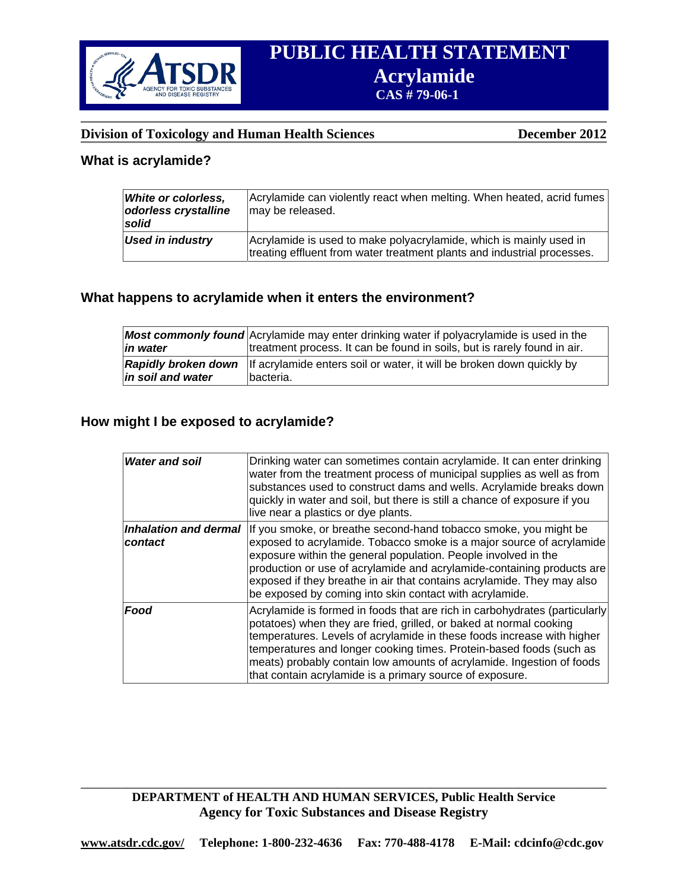

#### **Division of Toxicology and Human Health Sciences December 2012**

# **What is acrylamide?**

| White or colorless,<br>odorless crystalline<br>solid | Acrylamide can violently react when melting. When heated, acrid fumes<br>may be released.                                                     |
|------------------------------------------------------|-----------------------------------------------------------------------------------------------------------------------------------------------|
| <b>Used in industry</b>                              | Acrylamide is used to make polyacrylamide, which is mainly used in<br>treating effluent from water treatment plants and industrial processes. |

#### **What happens to acrylamide when it enters the environment?**

|                   | <b>Most commonly found</b> Acrylamide may enter drinking water if polyacrylamide is used in the               |
|-------------------|---------------------------------------------------------------------------------------------------------------|
| in water          | treatment process. It can be found in soils, but is rarely found in air.                                      |
| in soil and water | <b>Rapidly broken down</b> If acrylamide enters soil or water, it will be broken down quickly by<br>bacteria. |

# **How might I be exposed to acrylamide?**

| <b>Water and soil</b>            | Drinking water can sometimes contain acrylamide. It can enter drinking<br>water from the treatment process of municipal supplies as well as from<br>substances used to construct dams and wells. Acrylamide breaks down<br>quickly in water and soil, but there is still a chance of exposure if you                                                                                                                                                             |
|----------------------------------|------------------------------------------------------------------------------------------------------------------------------------------------------------------------------------------------------------------------------------------------------------------------------------------------------------------------------------------------------------------------------------------------------------------------------------------------------------------|
| Inhalation and dermal<br>contact | live near a plastics or dye plants.<br>If you smoke, or breathe second-hand tobacco smoke, you might be<br>exposed to acrylamide. Tobacco smoke is a major source of acrylamide<br>exposure within the general population. People involved in the<br>production or use of acrylamide and acrylamide-containing products are<br>exposed if they breathe in air that contains acrylamide. They may also<br>be exposed by coming into skin contact with acrylamide. |
| Food                             | Acrylamide is formed in foods that are rich in carbohydrates (particularly)<br>potatoes) when they are fried, grilled, or baked at normal cooking<br>temperatures. Levels of acrylamide in these foods increase with higher<br>temperatures and longer cooking times. Protein-based foods (such as<br>meats) probably contain low amounts of acrylamide. Ingestion of foods<br>that contain acrylamide is a primary source of exposure.                          |

#### **DEPARTMENT of HEALTH AND HUMAN SERVICES, Public Health Service Agency for Toxic Substances and Disease Registry**

\_\_\_\_\_\_\_\_\_\_\_\_\_\_\_\_\_\_\_\_\_\_\_\_\_\_\_\_\_\_\_\_\_\_\_\_\_\_\_\_\_\_\_\_\_\_\_\_\_\_\_\_\_\_\_\_\_\_\_\_\_\_\_\_\_\_\_\_\_\_\_\_\_\_\_\_\_\_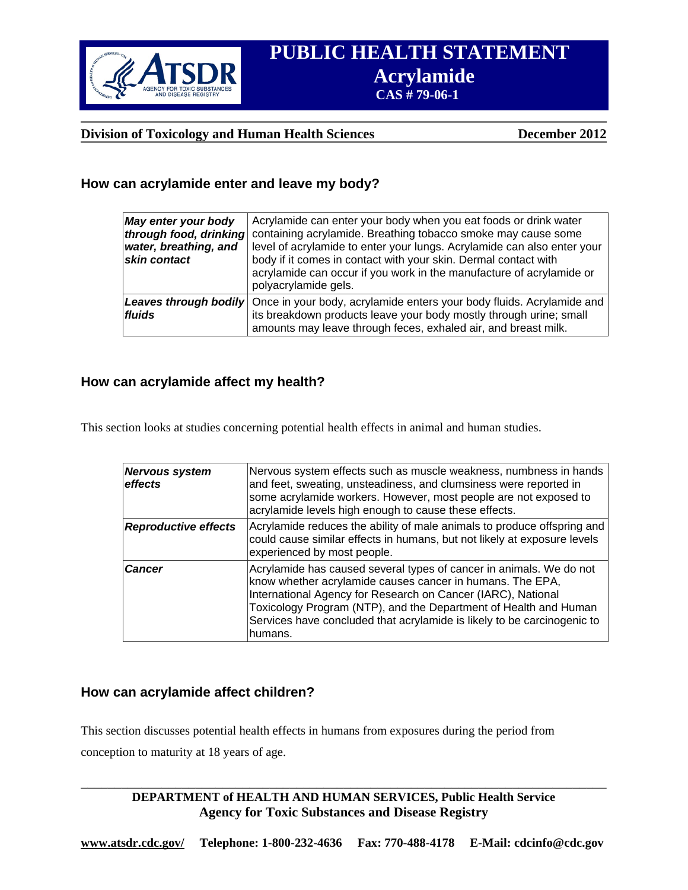

## **Division of Toxicology and Human Health Sciences December 2012**

# **How can acrylamide enter and leave my body?**

| May enter your body<br>through food, drinking<br>water, breathing, and<br>skin contact | Acrylamide can enter your body when you eat foods or drink water<br>containing acrylamide. Breathing tobacco smoke may cause some<br>level of acrylamide to enter your lungs. Acrylamide can also enter your<br>body if it comes in contact with your skin. Dermal contact with<br>acrylamide can occur if you work in the manufacture of acrylamide or<br>polyacrylamide gels. |
|----------------------------------------------------------------------------------------|---------------------------------------------------------------------------------------------------------------------------------------------------------------------------------------------------------------------------------------------------------------------------------------------------------------------------------------------------------------------------------|
| fluids                                                                                 | <b>Leaves through bodily</b> Once in your body, acrylamide enters your body fluids. Acrylamide and<br>its breakdown products leave your body mostly through urine; small<br>amounts may leave through feces, exhaled air, and breast milk.                                                                                                                                      |

#### **How can acrylamide affect my health?**

This section looks at studies concerning potential health effects in animal and human studies.

| <b>Nervous system</b><br>effects | Nervous system effects such as muscle weakness, numbness in hands<br>and feet, sweating, unsteadiness, and clumsiness were reported in<br>some acrylamide workers. However, most people are not exposed to<br>acrylamide levels high enough to cause these effects.                                                                                        |
|----------------------------------|------------------------------------------------------------------------------------------------------------------------------------------------------------------------------------------------------------------------------------------------------------------------------------------------------------------------------------------------------------|
| <b>Reproductive effects</b>      | Acrylamide reduces the ability of male animals to produce offspring and<br>could cause similar effects in humans, but not likely at exposure levels<br>experienced by most people.                                                                                                                                                                         |
| <b>Cancer</b>                    | Acrylamide has caused several types of cancer in animals. We do not<br>know whether acrylamide causes cancer in humans. The EPA,<br>International Agency for Research on Cancer (IARC), National<br>Toxicology Program (NTP), and the Department of Health and Human<br>Services have concluded that acrylamide is likely to be carcinogenic to<br>humans. |

# **How can acrylamide affect children?**

This section discusses potential health effects in humans from exposures during the period from conception to maturity at 18 years of age.

> **DEPARTMENT of HEALTH AND HUMAN SERVICES, Public Health Service Agency for Toxic Substances and Disease Registry**

\_\_\_\_\_\_\_\_\_\_\_\_\_\_\_\_\_\_\_\_\_\_\_\_\_\_\_\_\_\_\_\_\_\_\_\_\_\_\_\_\_\_\_\_\_\_\_\_\_\_\_\_\_\_\_\_\_\_\_\_\_\_\_\_\_\_\_\_\_\_\_\_\_\_\_\_\_\_

 **www.atsdr.cdc.gov/ Telephone: 1-800-232-4636 Fax: 770-488-4178 E-Mail: cdcinfo@cdc.gov**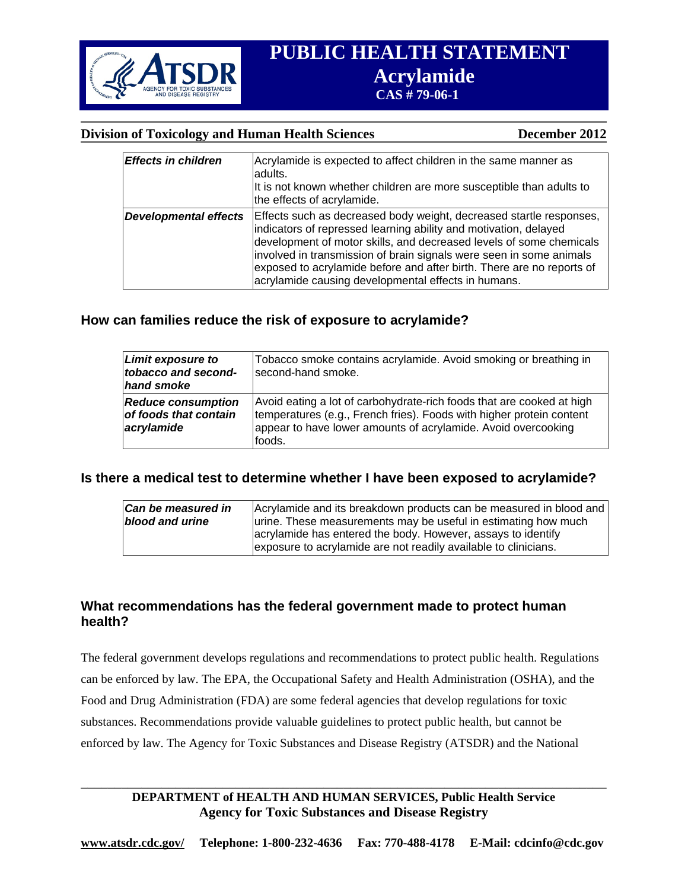

## **Division of Toxicology and Human Health Sciences December 2012**

| <b>Effects in children</b>   | Acrylamide is expected to affect children in the same manner as<br>adults.<br>It is not known whether children are more susceptible than adults to                                                                                                                                                                                                                                                                    |
|------------------------------|-----------------------------------------------------------------------------------------------------------------------------------------------------------------------------------------------------------------------------------------------------------------------------------------------------------------------------------------------------------------------------------------------------------------------|
|                              | the effects of acrylamide.                                                                                                                                                                                                                                                                                                                                                                                            |
| <b>Developmental effects</b> | Effects such as decreased body weight, decreased startle responses,<br>indicators of repressed learning ability and motivation, delayed<br>development of motor skills, and decreased levels of some chemicals<br>involved in transmission of brain signals were seen in some animals<br>exposed to acrylamide before and after birth. There are no reports of<br>acrylamide causing developmental effects in humans. |

# **How can families reduce the risk of exposure to acrylamide?**

| <b>Limit exposure to</b><br>tobacco and second-<br>hand smoke    | Tobacco smoke contains acrylamide. Avoid smoking or breathing in<br>second-hand smoke.                                                                                                                                   |
|------------------------------------------------------------------|--------------------------------------------------------------------------------------------------------------------------------------------------------------------------------------------------------------------------|
| <b>Reduce consumption</b><br>of foods that contain<br>acrylamide | Avoid eating a lot of carbohydrate-rich foods that are cooked at high<br>temperatures (e.g., French fries). Foods with higher protein content<br>appear to have lower amounts of acrylamide. Avoid overcooking<br>foods. |

# **Is there a medical test to determine whether I have been exposed to acrylamide?**

| <b>Can be measured in</b> | Acrylamide and its breakdown products can be measured in blood and |
|---------------------------|--------------------------------------------------------------------|
| blood and urine           | urine. These measurements may be useful in estimating how much     |
|                           | acrylamide has entered the body. However, assays to identify       |
|                           | exposure to acrylamide are not readily available to clinicians.    |

#### **What recommendations has the federal government made to protect human health?**

The federal government develops regulations and recommendations to protect public health. Regulations can be enforced by law. The EPA, the Occupational Safety and Health Administration (OSHA), and the Food and Drug Administration (FDA) are some federal agencies that develop regulations for toxic substances. Recommendations provide valuable guidelines to protect public health, but cannot be enforced by law. The Agency for Toxic Substances and Disease Registry (ATSDR) and the National

# **DEPARTMENT of HEALTH AND HUMAN SERVICES, Public Health Service Agency for Toxic Substances and Disease Registry**

\_\_\_\_\_\_\_\_\_\_\_\_\_\_\_\_\_\_\_\_\_\_\_\_\_\_\_\_\_\_\_\_\_\_\_\_\_\_\_\_\_\_\_\_\_\_\_\_\_\_\_\_\_\_\_\_\_\_\_\_\_\_\_\_\_\_\_\_\_\_\_\_\_\_\_\_\_\_

 **www.atsdr.cdc.gov/ Telephone: 1-800-232-4636 Fax: 770-488-4178 E-Mail: cdcinfo@cdc.gov**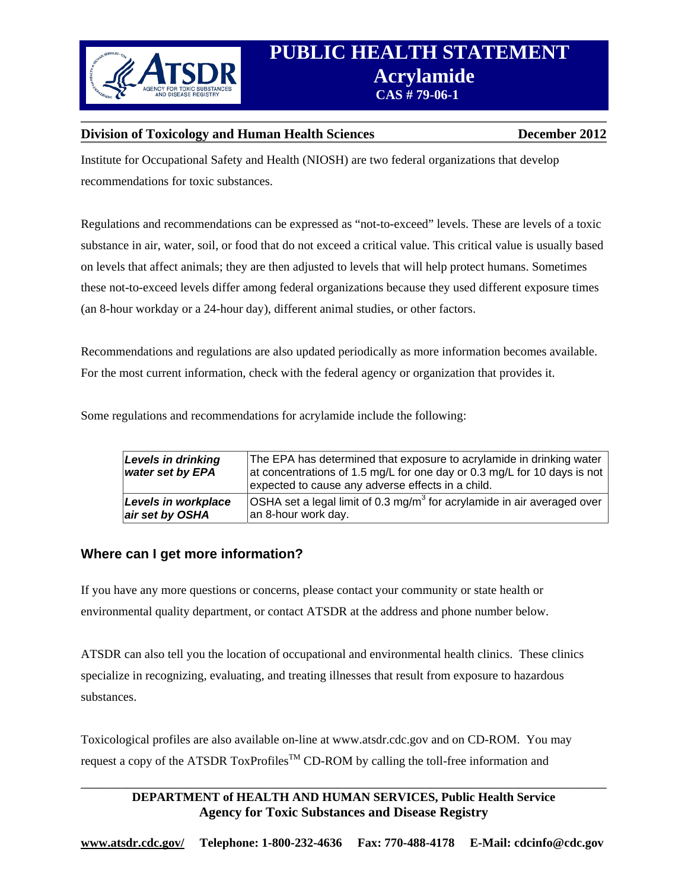

## **Division of Toxicology and Human Health Sciences December 2012**

Institute for Occupational Safety and Health (NIOSH) are two federal organizations that develop recommendations for toxic substances.

Regulations and recommendations can be expressed as "not-to-exceed" levels. These are levels of a toxic substance in air, water, soil, or food that do not exceed a critical value. This critical value is usually based on levels that affect animals; they are then adjusted to levels that will help protect humans. Sometimes these not-to-exceed levels differ among federal organizations because they used different exposure times (an 8-hour workday or a 24-hour day), different animal studies, or other factors.

Recommendations and regulations are also updated periodically as more information becomes available. For the most current information, check with the federal agency or organization that provides it.

Some regulations and recommendations for acrylamide include the following:

| Levels in drinking<br>water set by EPA | The EPA has determined that exposure to acrylamide in drinking water<br>at concentrations of 1.5 mg/L for one day or 0.3 mg/L for 10 days is not<br>expected to cause any adverse effects in a child. |
|----------------------------------------|-------------------------------------------------------------------------------------------------------------------------------------------------------------------------------------------------------|
| Levels in workplace                    | OSHA set a legal limit of 0.3 mg/m <sup>3</sup> for acrylamide in air averaged over                                                                                                                   |
| air set by OSHA                        | an 8-hour work day.                                                                                                                                                                                   |

# **Where can I get more information?**

If you have any more questions or concerns, please contact your community or state health or environmental quality department, or contact ATSDR at the address and phone number below.

ATSDR can also tell you the location of occupational and environmental health clinics. These clinics specialize in recognizing, evaluating, and treating illnesses that result from exposure to hazardous substances.

Toxicological profiles are also available on-line at www.atsdr.cdc.gov and on CD-ROM. You may request a copy of the ATSDR ToxProfiles<sup>TM</sup> CD-ROM by calling the toll-free information and

# **DEPARTMENT of HEALTH AND HUMAN SERVICES, Public Health Service Agency for Toxic Substances and Disease Registry**

\_\_\_\_\_\_\_\_\_\_\_\_\_\_\_\_\_\_\_\_\_\_\_\_\_\_\_\_\_\_\_\_\_\_\_\_\_\_\_\_\_\_\_\_\_\_\_\_\_\_\_\_\_\_\_\_\_\_\_\_\_\_\_\_\_\_\_\_\_\_\_\_\_\_\_\_\_\_

 **www.atsdr.cdc.gov/ Telephone: 1-800-232-4636 Fax: 770-488-4178 E-Mail: cdcinfo@cdc.gov**